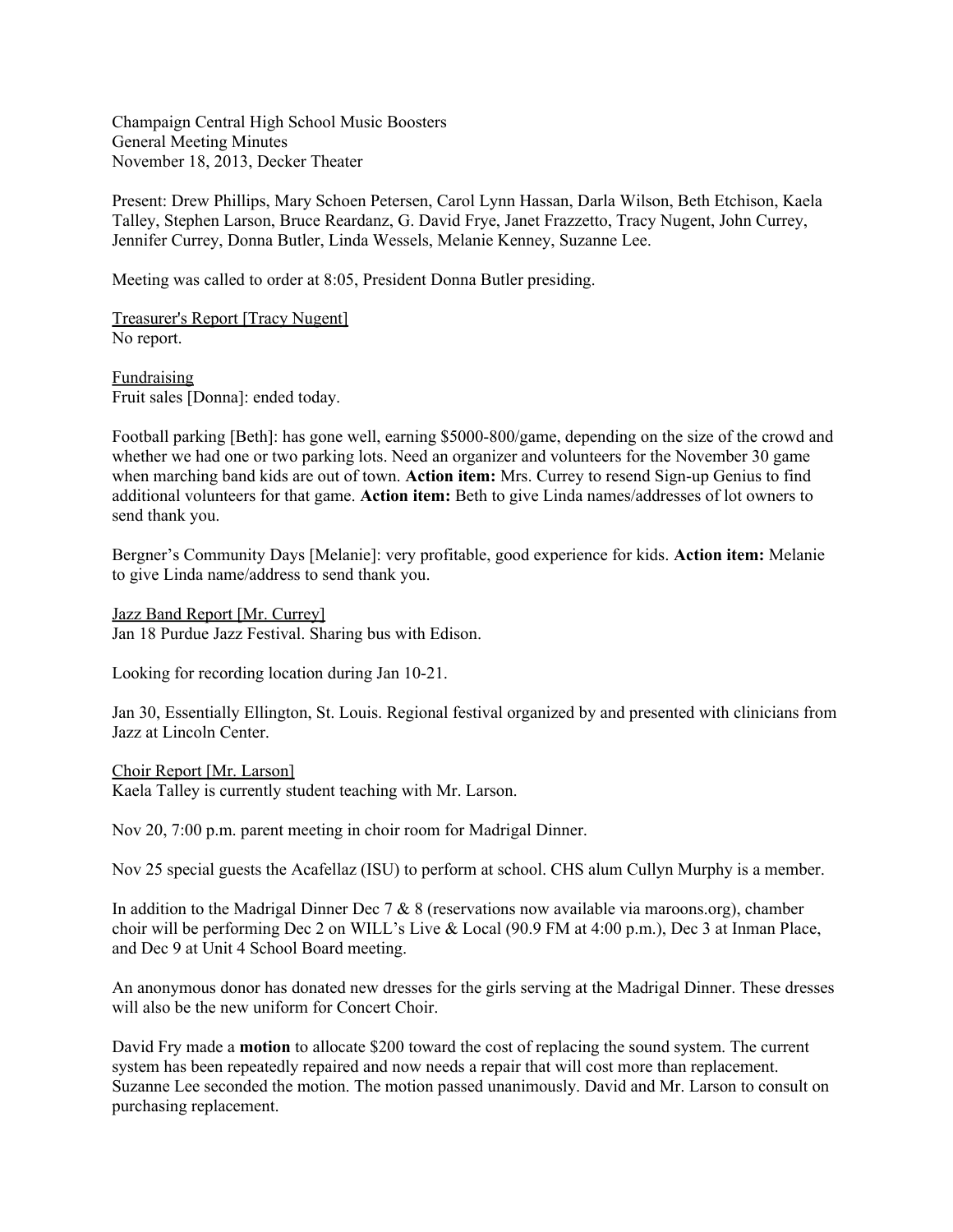Champaign Central High School Music Boosters General Meeting Minutes November 18, 2013, Decker Theater

Present: Drew Phillips, Mary Schoen Petersen, Carol Lynn Hassan, Darla Wilson, Beth Etchison, Kaela Talley, Stephen Larson, Bruce Reardanz, G. David Frye, Janet Frazzetto, Tracy Nugent, John Currey, Jennifer Currey, Donna Butler, Linda Wessels, Melanie Kenney, Suzanne Lee.

Meeting was called to order at 8:05, President Donna Butler presiding.

Treasurer's Report [Tracy Nugent] No report.

**Fundraising** Fruit sales [Donna]: ended today.

Football parking [Beth]: has gone well, earning \$5000-800/game, depending on the size of the crowd and whether we had one or two parking lots. Need an organizer and volunteers for the November 30 game when marching band kids are out of town. **Action item:** Mrs. Currey to resend Sign-up Genius to find additional volunteers for that game. **Action item:** Beth to give Linda names/addresses of lot owners to send thank you.

Bergner's Community Days [Melanie]: very profitable, good experience for kids. **Action item:** Melanie to give Linda name/address to send thank you.

### Jazz Band Report [Mr. Currey]

Jan 18 Purdue Jazz Festival. Sharing bus with Edison.

Looking for recording location during Jan 10-21.

Jan 30, Essentially Ellington, St. Louis. Regional festival organized by and presented with clinicians from Jazz at Lincoln Center.

#### Choir Report [Mr. Larson]

Kaela Talley is currently student teaching with Mr. Larson.

Nov 20, 7:00 p.m. parent meeting in choir room for Madrigal Dinner.

Nov 25 special guests the Acafellaz (ISU) to perform at school. CHS alum Cullyn Murphy is a member.

In addition to the Madrigal Dinner Dec 7  $\&$  8 (reservations now available via maroons.org), chamber choir will be performing Dec 2 on WILL's Live & Local (90.9 FM at 4:00 p.m.), Dec 3 at Inman Place, and Dec 9 at Unit 4 School Board meeting.

An anonymous donor has donated new dresses for the girls serving at the Madrigal Dinner. These dresses will also be the new uniform for Concert Choir.

David Fry made a **motion** to allocate \$200 toward the cost of replacing the sound system. The current system has been repeatedly repaired and now needs a repair that will cost more than replacement. Suzanne Lee seconded the motion. The motion passed unanimously. David and Mr. Larson to consult on purchasing replacement.